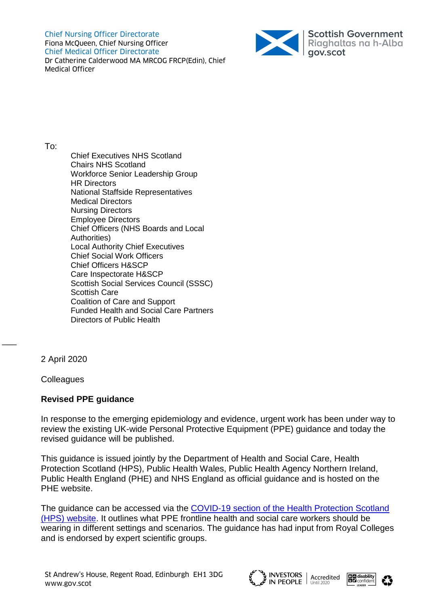Chief Nursing Officer Directorate Fiona McQueen, Chief Nursing Officer Chief Medical Officer Directorate Dr Catherine Calderwood MA MRCOG FRCP(Edin), Chief Medical Officer



To:

Chief Executives NHS Scotland Chairs NHS Scotland Workforce Senior Leadership Group HR Directors National Staffside Representatives Medical Directors Nursing Directors Employee Directors Chief Officers (NHS Boards and Local Authorities) Local Authority Chief Executives Chief Social Work Officers Chief Officers H&SCP Care Inspectorate H&SCP Scottish Social Services Council (SSSC) Scottish Care Coalition of Care and Support Funded Health and Social Care Partners Directors of Public Health

2 April 2020

 $\overline{\phantom{a}}$ 

**Colleagues** 

# **Revised PPE guidance**

In response to the emerging epidemiology and evidence, urgent work has been under way to review the existing UK-wide Personal Protective Equipment (PPE) guidance and today the revised guidance will be published.

This guidance is issued jointly by the Department of Health and Social Care, Health Protection Scotland (HPS), Public Health Wales, Public Health Agency Northern Ireland, Public Health England (PHE) and NHS England as official guidance and is hosted on the PHE website.

The guidance can be accessed via the COVID-19 section [of the Health Protection Scotland](https://www.hps.scot.nhs.uk/a-to-z-of-topics/covid-19/)  [\(HPS\) website.](https://www.hps.scot.nhs.uk/a-to-z-of-topics/covid-19/) It outlines what PPE frontline health and social care workers should be wearing in different settings and scenarios. The guidance has had input from Royal Colleges and is endorsed by expert scientific groups.





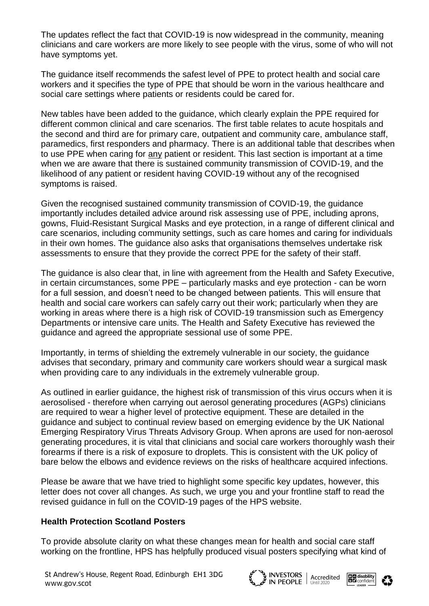The updates reflect the fact that COVID-19 is now widespread in the community, meaning clinicians and care workers are more likely to see people with the virus, some of who will not have symptoms yet.

The guidance itself recommends the safest level of PPE to protect health and social care workers and it specifies the type of PPE that should be worn in the various healthcare and social care settings where patients or residents could be cared for.

New tables have been added to the guidance, which clearly explain the PPE required for different common clinical and care scenarios. The first table relates to acute hospitals and the second and third are for primary care, outpatient and community care, ambulance staff, paramedics, first responders and pharmacy. There is an additional table that describes when to use PPE when caring for any patient or resident. This last section is important at a time when we are aware that there is sustained community transmission of COVID-19, and the likelihood of any patient or resident having COVID-19 without any of the recognised symptoms is raised.

Given the recognised sustained community transmission of COVID-19, the guidance importantly includes detailed advice around risk assessing use of PPE, including aprons, gowns, Fluid-Resistant Surgical Masks and eye protection, in a range of different clinical and care scenarios, including community settings, such as care homes and caring for individuals in their own homes. The guidance also asks that organisations themselves undertake risk assessments to ensure that they provide the correct PPE for the safety of their staff.

The guidance is also clear that, in line with agreement from the Health and Safety Executive, in certain circumstances, some PPE – particularly masks and eye protection - can be worn for a full session, and doesn't need to be changed between patients. This will ensure that health and social care workers can safely carry out their work; particularly when they are working in areas where there is a high risk of COVID-19 transmission such as Emergency Departments or intensive care units. The Health and Safety Executive has reviewed the guidance and agreed the appropriate sessional use of some PPE.

Importantly, in terms of shielding the extremely vulnerable in our society, the guidance advises that secondary, primary and community care workers should wear a surgical mask when providing care to any individuals in the extremely vulnerable group.

As outlined in earlier guidance, the highest risk of transmission of this virus occurs when it is aerosolised - therefore when carrying out aerosol generating procedures (AGPs) clinicians are required to wear a higher level of protective equipment. These are detailed in the guidance and subject to continual review based on emerging evidence by the UK National Emerging Respiratory Virus Threats Advisory Group. When aprons are used for non-aerosol generating procedures, it is vital that clinicians and social care workers thoroughly wash their forearms if there is a risk of exposure to droplets. This is consistent with the UK policy of bare below the elbows and evidence reviews on the risks of healthcare acquired infections.

Please be aware that we have tried to highlight some specific key updates, however, this letter does not cover all changes. As such, we urge you and your frontline staff to read the revised guidance in full on the COVID-19 pages of the HPS website.

## **Health Protection Scotland Posters**

To provide absolute clarity on what these changes mean for health and social care staff working on the frontline, HPS has helpfully produced visual posters specifying what kind of



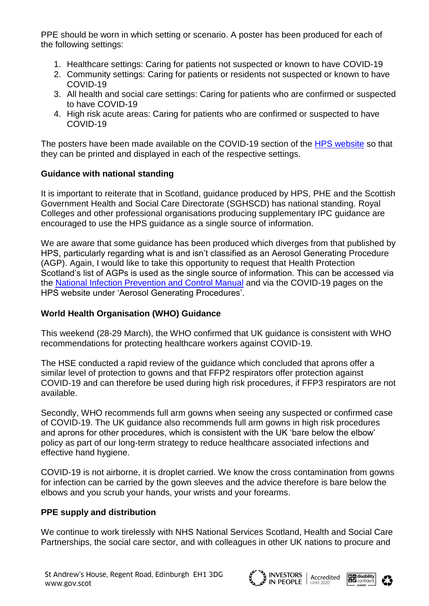PPE should be worn in which setting or scenario. A poster has been produced for each of the following settings:

- 1. Healthcare settings: Caring for patients not suspected or known to have COVID-19
- 2. Community settings: Caring for patients or residents not suspected or known to have COVID-19
- 3. All health and social care settings: Caring for patients who are confirmed or suspected to have COVID-19
- 4. High risk acute areas: Caring for patients who are confirmed or suspected to have COVID-19

The posters have been made available on the COVID-19 section of the [HPS website](https://www.hps.scot.nhs.uk/web-resources-container/personal-protective-equipment-ppe-posters-a3/) so that they can be printed and displayed in each of the respective settings.

# **Guidance with national standing**

It is important to reiterate that in Scotland, guidance produced by HPS, PHE and the Scottish Government Health and Social Care Directorate (SGHSCD) has national standing. Royal Colleges and other professional organisations producing supplementary IPC guidance are encouraged to use the HPS guidance as a single source of information.

We are aware that some guidance has been produced which diverges from that published by HPS, particularly regarding what is and isn't classified as an Aerosol Generating Procedure (AGP). Again, I would like to take this opportunity to request that Health Protection Scotland's list of AGPs is used as the single source of information. This can be accessed via the [National Infection Prevention and Control Manual](http://www.nipcm.hps.scot.nhs.uk/) and via the COVID-19 pages on the HPS website under 'Aerosol Generating Procedures'.

# **World Health Organisation (WHO) Guidance**

This weekend (28-29 March), the WHO confirmed that UK guidance is consistent with WHO recommendations for protecting healthcare workers against COVID-19.

The HSE conducted a rapid review of the guidance which concluded that aprons offer a similar level of protection to gowns and that FFP2 respirators offer protection against COVID-19 and can therefore be used during high risk procedures, if FFP3 respirators are not available.

Secondly, WHO recommends full arm gowns when seeing any suspected or confirmed case of COVID-19. The UK guidance also recommends full arm gowns in high risk procedures and aprons for other procedures, which is consistent with the UK 'bare below the elbow' policy as part of our long-term strategy to reduce healthcare associated infections and effective hand hygiene.

COVID-19 is not airborne, it is droplet carried. We know the cross contamination from gowns for infection can be carried by the gown sleeves and the advice therefore is bare below the elbows and you scrub your hands, your wrists and your forearms.

# **PPE supply and distribution**

We continue to work tirelessly with NHS National Services Scotland, Health and Social Care Partnerships, the social care sector, and with colleagues in other UK nations to procure and